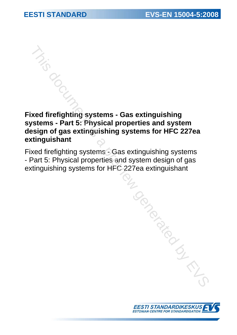# **Fixed firefighting systems - Gas extinguishing systems - Part 5: Physical properties and system design of gas extinguishing systems for HFC 227ea extinguishant**  This document is a previous comparison of gas a stringuishing reterns - Part 5: Physical properties and system<br>a sign of gas extinguishing systems for HFC 227ea<br>direflighting systems - Gas extinguishing systems<br>by EVS EVS

Fixed firefighting systems - Gas extinguishing systems - Part 5: Physical properties and system design of gas extinguishing systems for HFC 227ea extinguishant

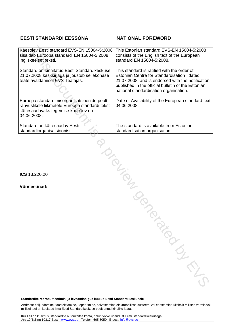# **EESTI STANDARDI EESSÕNA NATIONAL FOREWORD**

| Käesolev Eesti standard EVS-EN 15004-5:2008<br>sisaldab Euroopa standardi EN 15004-5:2008<br>ingliskeelset teksti.                                   | This Estonian standard EVS-EN 15004-5:2008<br>consists of the English text of the European<br>standard EN 15004-5:2008.                                                                                                                      |
|------------------------------------------------------------------------------------------------------------------------------------------------------|----------------------------------------------------------------------------------------------------------------------------------------------------------------------------------------------------------------------------------------------|
| Standard on kinnitatud Eesti Standardikeskuse<br>21.07.2008 käskkirjaga ja jõustub sellekohase<br>teate avaldamisel EVS Teatajas.                    | This standard is ratified with the order of<br>Estonian Centre for Standardisation dated<br>21.07.2008 and is endorsed with the notification<br>published in the official bulletin of the Estonian<br>national standardisation organisation. |
| Euroopa standardimisorganisatsioonide poolt<br>rahvuslikele liikmetele Euroopa standardi teksti<br>kättesaadavaks tegemise kuupäev on<br>04.06.2008. | Date of Availability of the European standard text<br>04.06.2008.                                                                                                                                                                            |
| Standard on kättesaadav Eesti<br>standardiorganisatsioonist.                                                                                         | The standard is available from Estonian<br>standardisation organisation.                                                                                                                                                                     |
|                                                                                                                                                      | January 1919                                                                                                                                                                                                                                 |
| ICS 13.220.20                                                                                                                                        |                                                                                                                                                                                                                                              |
| Võtmesõnad:                                                                                                                                          |                                                                                                                                                                                                                                              |
|                                                                                                                                                      | LON                                                                                                                                                                                                                                          |
|                                                                                                                                                      |                                                                                                                                                                                                                                              |
|                                                                                                                                                      |                                                                                                                                                                                                                                              |
|                                                                                                                                                      |                                                                                                                                                                                                                                              |
|                                                                                                                                                      | PARTICIPAL M                                                                                                                                                                                                                                 |

**Standardite reprodutseerimis- ja levitamisõigus kuulub Eesti Standardikeskusele** 

Andmete paljundamine, taastekitamine, kopeerimine, salvestamine elektroonilisse süsteemi või edastamine ükskõik millises vormis või millisel teel on keelatud ilma Eesti Standardikeskuse poolt antud kirjaliku loata.

Kui Teil on küsimusi standardite autorikaitse kohta, palun võtke ühendust Eesti Standardikeskusega: Aru 10 Tallinn 10317 Eesti; www.evs.ee; Telefon: 605 5050; E-post: info@evs.ee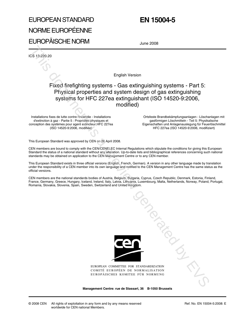# EUROPEAN STANDARD NORME EUROPÉENNE EUROPÄISCHE NORM

# **EN 15004-5**

June 2008

ICS 13.220.20

English Version

## Fixed firefighting systems - Gas extinguishing systems - Part 5: Physical properties and system design of gas extinguishing systems for HFC 227ea extinguishant (ISO 14520-9:2006, modified)

Installations fixes de lutte contre l'incendie - Installations d'extinction à gaz - Partie 5 : Propriétés physiques et conception des systèmes pour agent extincteur HFC 227ea (ISO 14520-9:2006, modifiée)

Ortsfeste Brandbekämpfungsanlagen - Löschanlagen mit gasförmigen Löschmitteln - Teil 5: Physikalische Eigenschaften und Anlagenauslegung für Feuerlöschmittel HFC 227ea (ISO 14520-9:2006, modifiziert)

This European Standard was approved by CEN on 26 April 2008.

CEN members are bound to comply with the CEN/CENELEC Internal Regulations which stipulate the conditions for giving this European Standard the status of a national standard without any alteration. Up-to-date lists and bibliographical references concerning such national standards may be obtained on application to the CEN Management Centre or to any CEN member.

This European Standard exists in three official versions (English, French, German). A version in any other language made by translation under the responsibility of a CEN member into its own language and notified to the CEN Management Centre has the same status as the official versions.

CEN members are the national standards bodies of Austria, Belgium, Bulgaria, Cyprus, Czech Republic, Denmark, Estonia, Finland, France, Germany, Greece, Hungary, Iceland, Ireland, Italy, Latvia, Lithuania, Luxembourg, Malta, Netherlands, Norway, Poland, Portugal, Romania, Slovakia, Slovenia, Spain, Sweden, Switzerland and United Kingdom.



EUROPEAN COMMITTEE FOR STANDARDIZATION COMITÉ EUROPÉEN DE NORMALISATION EUROPÄISCHES KOMITEE FÜR NORMUNG **Mission Crewith in Preview** 

**Management Centre: rue de Stassart, 36 B-1050 Brussels**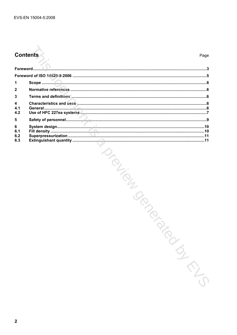# **Contents**

#### Page

| 1                      |  |
|------------------------|--|
| $\mathbf{2}$           |  |
| 3                      |  |
| 4<br>4.1               |  |
| 4.2                    |  |
| 5                      |  |
| 6<br>6.1<br>6.2<br>6.3 |  |
|                        |  |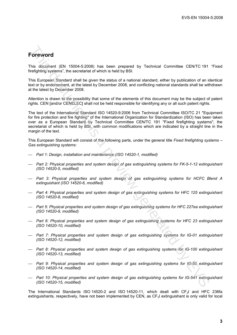# **Foreword**

This document (EN 15004-5:2008) has been prepared by Technical Committee CEN/TC 191 "Fixed firefighting systems", the secretariat of which is held by BSI.

This European Standard shall be given the status of a national standard, either by publication of an identical text or by endorsement, at the latest by December 2008, and conflicting national standards shall be withdrawn at the latest by December 2008.

Attention is drawn to the possibility that some of the elements of this document may be the subject of patent rights. CEN [and/or CENELEC] shall not be held responsible for identifying any or all such patent rights.

The text of the International Standard ISO 14520-9:2006 from Technical Committee ISO/TC 21 "Equipment for fire protection and fire fighting" of the International Organization for Standardization (ISO) has been taken over as a European Standard by Technical Committee CEN/TC 191 "Fixed firefighting systems", the secretariat of which is held by BSI, with common modifications which are indicated by a straight line in the margin of the text. **Forewoord**<br>This document (EN 15004-52008) has been prepared by Technical Committee CENTC 191<br>
This European Standard shall be given the status of a national standard, either by publication of an identifying systems", the

This European Standard will consist of the following parts, under the general title *Fixed firefighting systems – Gas extinguishing systems:* 

- *Part 1: Design, installation and maintenance (ISO 14520-1, modified)*
- *Part 2: Physical properties and system design of gas extinguishing systems for FK-5-1-12 extinguishant (ISO 14520-5, modified)*
- *Part 3: Physical properties and system design of gas extinguishing systems for HCFC Blend A extinguishant (ISO 14520-6, modified)*
- *Part 4: Physical properties and system design of gas extinguishing systems for HFC 125 extinguishant (ISO 14520-8, modified)*
- *Part 5: Physical properties and system design of gas extinguishing systems for HFC 227ea extinguishant (ISO 14520-9, modified)*
- *Part 6: Physical properties and system design of gas extinguishing systems for HFC 23 extinguishant (ISO 14520-10, modified)*
- *Part 7: Physical properties and system design of gas extinguishing systems for IG-01 extinguishant (ISO 14520-12, modified)*
- *Part 8: Physical properties and system design of gas extinguishing systems for IG-100 extinguishant (ISO 14520-13, modified)*
- *Part 9: Physical properties and system design of gas extinguishing systems for IG-55 extinguishant (ISO 14520-14, modified)*
- *Part 10: Physical properties and system design of gas extinguishing systems for IG-541 extinguishant (ISO 14520-15, modified)*

The International Standards ISO 14520-2 and ISO 14520-11, which dealt with CF<sub>3</sub>I and HFC 236fa extinguishants, respectively, have not been implemented by CEN, as CF<sub>3</sub>I extinguishant is only valid for local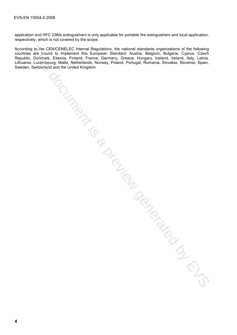application and HFC 236fa extinguishant is only applicable for portable fire extinguishers and local application, respectively, which is not covered by the scope.

According to the CEN/CENELEC Internal Regulations, the national standards organizations of the following countries are bound to implement this European Standard: Austria, Belgium, Bulgaria, Cyprus, Czech Republic, Denmark, Estonia, Finland, France, Germany, Greece, Hungary, Iceland, Ireland, Italy, Latvia, Lithuania, Luxembourg, Malta, Netherlands, Norway, Poland, Portugal, Romania, Slovakia, Slovenia, Spain, Sweden, Switzerland and the United Kingdom. g to the CCNICE-ISE Cherence Regulations, the national standards congressions of the following to the following<br>and since bound to implement this European Standard: Austria. Belgium, Bugaria. Cyprus, Czech,<br>Luxambourg, Mal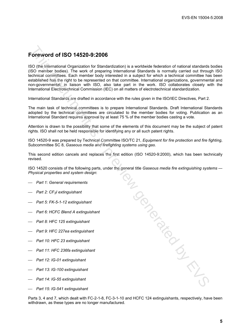# **Foreword of ISO 14520-9:2006**

ISO (the International Organization for Standardization) is a worldwide federation of national standards bodies (ISO member bodies). The work of preparing International Standards is normally carried out through ISO technical committees. Each member body interested in a subject for which a technical committee has been established has the right to be represented on that committee. International organizations, governmental and non-governmental, in liaison with ISO, also take part in the work. ISO collaborates closely with the International Electrotechnical Commission (IEC) on all matters of electrotechnical standardization.

International Standards are drafted in accordance with the rules given in the ISO/IEC Directives, Part 2.

The main task of technical committees is to prepare International Standards. Draft International Standards adopted by the technical committees are circulated to the member bodies for voting. Publication as an International Standard requires approval by at least 75 % of the member bodies casting a vote.

Attention is drawn to the possibility that some of the elements of this document may be the subject of patent rights. ISO shall not be held responsible for identifying any or all such patent rights.

ISO 14520-9 was prepared by Technical Committee ISO/TC 21, *Equipment for fire protection and fire fighting*, Subcommittee SC 8, *Gaseous media and firefighting systems using gas*.

This second edition cancels and replaces the first edition (ISO 14520-9:2000), which has been technically revised.

ISO 14520 consists of the following parts, under the general title *Gaseous media fire extinguishing systems — Physical properties and system design*:

- *Part 1: General requirements*
- *Part 2: CF3I extinguishant*
- *Part 5: FK-5-1-12 extinguishant*
- *Part 6: HCFC Blend A extinguishant*
- *Part 8: HFC 125 extinguishant*
- *Part 9: HFC 227ea extinguishant*
- *Part 10: HFC 23 extinguishant*
- *Part 11: HFC 236fa extinguishant*
- *Part 12: IG-01 extinguishant*
- *Part 13: IG-100 extinguishant*
- *Part 14: IG-55 extinguishant*
- *Part 15: IG-541 extinguishant*

Parts 3, 4 and 7, which dealt with FC-2-1-8, FC-3-1-10 and HCFC 124 extinguishants, respectively, have been withdrawn, as these types are no longer manufactured. **Propies Instrumental By Created By Concernation**